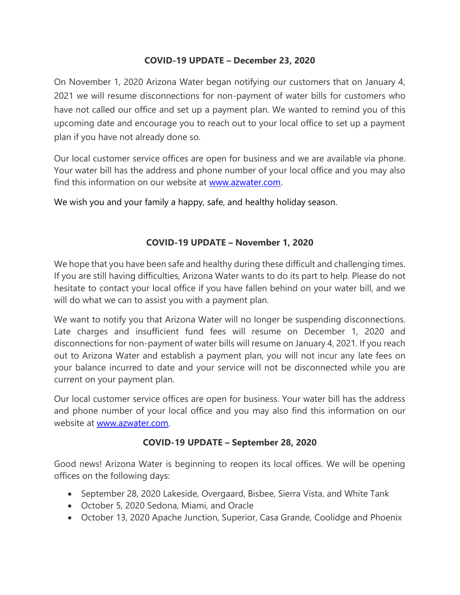## **COVID-19 UPDATE – December 23, 2020**

On November 1, 2020 Arizona Water began notifying our customers that on January 4, 2021 we will resume disconnections for non-payment of water bills for customers who have not called our office and set up a payment plan. We wanted to remind you of this upcoming date and encourage you to reach out to your local office to set up a payment plan if you have not already done so.

Our local customer service offices are open for business and we are available via phone. Your water bill has the address and phone number of your local office and you may also find this information on our website at [www.azwater.com.](http://www.azwater.com/)

We wish you and your family a happy, safe, and healthy holiday season.

# **COVID-19 UPDATE – November 1, 2020**

We hope that you have been safe and healthy during these difficult and challenging times. If you are still having difficulties, Arizona Water wants to do its part to help. Please do not hesitate to contact your local office if you have fallen behind on your water bill, and we will do what we can to assist you with a payment plan.

We want to notify you that Arizona Water will no longer be suspending disconnections. Late charges and insufficient fund fees will resume on December 1, 2020 and disconnections for non-payment of water bills will resume on January 4, 2021. If you reach out to Arizona Water and establish a payment plan, you will not incur any late fees on your balance incurred to date and your service will not be disconnected while you are current on your payment plan.

Our local customer service offices are open for business. Your water bill has the address and phone number of your local office and you may also find this information on our website at [www.azwater.com.](http://www.azwater.com/)

# **COVID-19 UPDATE – September 28, 2020**

Good news! Arizona Water is beginning to reopen its local offices. We will be opening offices on the following days:

- September 28, 2020 Lakeside, Overgaard, Bisbee, Sierra Vista, and White Tank
- October 5, 2020 Sedona, Miami, and Oracle
- October 13, 2020 Apache Junction, Superior, Casa Grande, Coolidge and Phoenix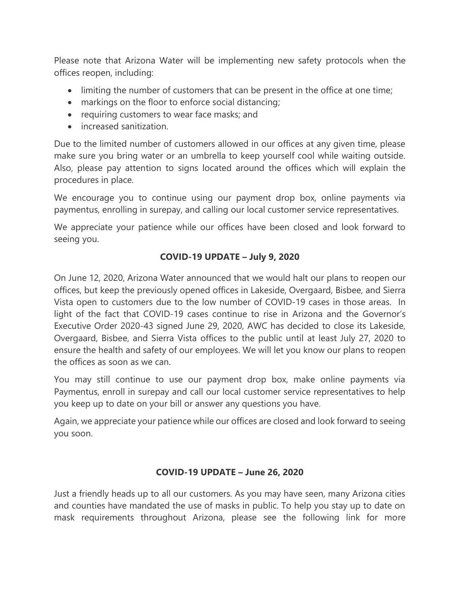Please note that Arizona Water will be implementing new safety protocols when the offices reopen, including:

- limiting the number of customers that can be present in the office at one time;
- markings on the floor to enforce social distancing;
- requiring customers to wear face masks; and
- increased sanitization.

Due to the limited number of customers allowed in our offices at any given time, please make sure you bring water or an umbrella to keep yourself cool while waiting outside. Also, please pay attention to signs located around the offices which will explain the procedures in place.

We encourage you to continue using our payment drop box, online payments via paymentus, enrolling in surepay, and calling our local customer service representatives.

We appreciate your patience while our offices have been closed and look forward to seeing you.

## **COVID-19 UPDATE – July 9, 2020**

On June 12, 2020, Arizona Water announced that we would halt our plans to reopen our offices, but keep the previously opened offices in Lakeside, Overgaard, Bisbee, and Sierra Vista open to customers due to the low number of COVID-19 cases in those areas. In light of the fact that COVID-19 cases continue to rise in Arizona and the Governor's Executive Order 2020-43 signed June 29, 2020, AWC has decided to close its Lakeside, Overgaard, Bisbee, and Sierra Vista offices to the public until at least July 27, 2020 to ensure the health and safety of our employees. We will let you know our plans to reopen the offices as soon as we can.

You may still continue to use our payment drop box, make online payments via Paymentus, enroll in surepay and call our local customer service representatives to help you keep up to date on your bill or answer any questions you have.

Again, we appreciate your patience while our offices are closed and look forward to seeing you soon.

### **COVID-19 UPDATE – June 26, 2020**

Just a friendly heads up to all our customers. As you may have seen, many Arizona cities and counties have mandated the use of masks in public. To help you stay up to date on mask requirements throughout Arizona, please see the following link for more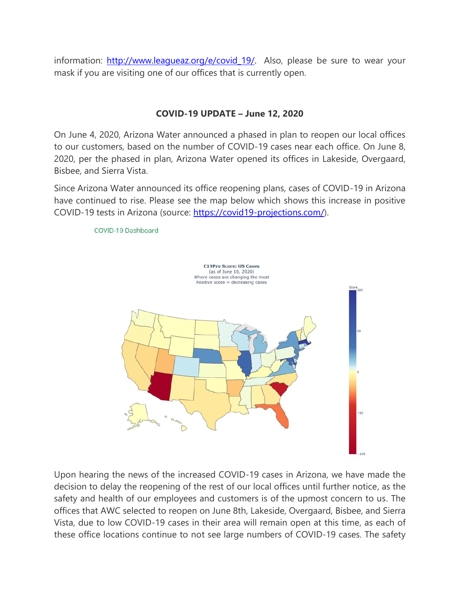information: http://www.leagueaz.org/e/covid 19/. Also, please be sure to wear your mask if you are visiting one of our offices that is currently open.

## **COVID-19 UPDATE – June 12, 2020**

On June 4, 2020, Arizona Water announced a phased in plan to reopen our local offices to our customers, based on the number of COVID-19 cases near each office. On June 8, 2020, per the phased in plan, Arizona Water opened its offices in Lakeside, Overgaard, Bisbee, and Sierra Vista.

Since Arizona Water announced its office reopening plans, cases of COVID-19 in Arizona have continued to rise. Please see the map below which shows this increase in positive COVID-19 tests in Arizona (source: [https://covid19-projections.com/\)](https://covid19-projections.com/).



Upon hearing the news of the increased COVID-19 cases in Arizona, we have made the decision to delay the reopening of the rest of our local offices until further notice, as the safety and health of our employees and customers is of the upmost concern to us. The offices that AWC selected to reopen on June 8th, Lakeside, Overgaard, Bisbee, and Sierra Vista, due to low COVID-19 cases in their area will remain open at this time, as each of these office locations continue to not see large numbers of COVID-19 cases. The safety

#### COVID-19 Dashboard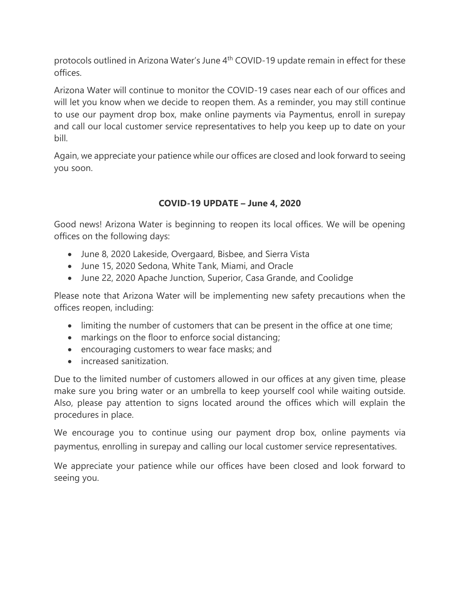protocols outlined in Arizona Water's June 4<sup>th</sup> COVID-19 update remain in effect for these offices.

Arizona Water will continue to monitor the COVID-19 cases near each of our offices and will let you know when we decide to reopen them. As a reminder, you may still continue to use our payment drop box, make online payments via Paymentus, enroll in surepay and call our local customer service representatives to help you keep up to date on your bill.

Again, we appreciate your patience while our offices are closed and look forward to seeing you soon.

# **COVID-19 UPDATE – June 4, 2020**

Good news! Arizona Water is beginning to reopen its local offices. We will be opening offices on the following days:

- June 8, 2020 Lakeside, Overgaard, Bisbee, and Sierra Vista
- June 15, 2020 Sedona, White Tank, Miami, and Oracle
- June 22, 2020 Apache Junction, Superior, Casa Grande, and Coolidge

Please note that Arizona Water will be implementing new safety precautions when the offices reopen, including:

- limiting the number of customers that can be present in the office at one time;
- markings on the floor to enforce social distancing;
- encouraging customers to wear face masks; and
- increased sanitization.

Due to the limited number of customers allowed in our offices at any given time, please make sure you bring water or an umbrella to keep yourself cool while waiting outside. Also, please pay attention to signs located around the offices which will explain the procedures in place.

We encourage you to continue using our payment drop box, online payments via paymentus, enrolling in surepay and calling our local customer service representatives.

We appreciate your patience while our offices have been closed and look forward to seeing you.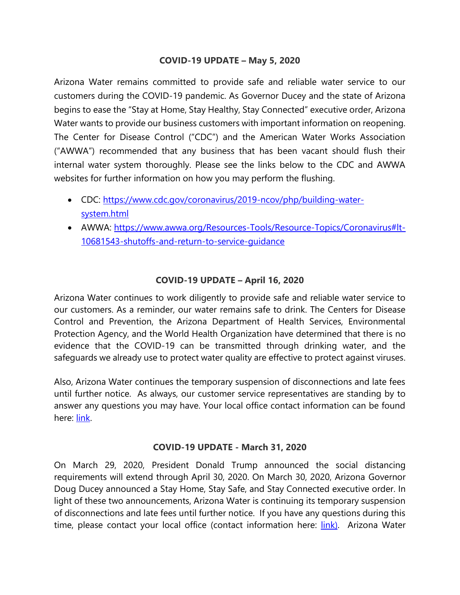## **COVID-19 UPDATE – May 5, 2020**

Arizona Water remains committed to provide safe and reliable water service to our customers during the COVID-19 pandemic. As Governor Ducey and the state of Arizona begins to ease the "Stay at Home, Stay Healthy, Stay Connected" executive order, Arizona Water wants to provide our business customers with important information on reopening. The Center for Disease Control ("CDC") and the American Water Works Association ("AWWA") recommended that any business that has been vacant should flush their internal water system thoroughly. Please see the links below to the CDC and AWWA websites for further information on how you may perform the flushing.

- CDC: [https://www.cdc.gov/coronavirus/2019-ncov/php/building-water](https://www.cdc.gov/coronavirus/2019-ncov/php/building-water-system.html)[system.html](https://www.cdc.gov/coronavirus/2019-ncov/php/building-water-system.html)
- AWWA: https://www.awwa.org/Resources-Tools/Resource-Topics/Coronavirus#It-[10681543-shutoffs-and-return-to-service-guidance](https://www.awwa.org/Resources-Tools/Resource-Topics/Coronavirus#lt-10681543-shutoffs-and-return-to-service-guidance)

## **COVID-19 UPDATE – April 16, 2020**

Arizona Water continues to work diligently to provide safe and reliable water service to our customers. As a reminder, our water remains safe to drink. The Centers for Disease Control and Prevention, the Arizona Department of Health Services, Environmental Protection Agency, and the World Health Organization have determined that there is no evidence that the COVID-19 can be transmitted through drinking water, and the safeguards we already use to protect water quality are effective to protect against viruses.

Also, Arizona Water continues the temporary suspension of disconnections and late fees until further notice. As always, our customer service representatives are standing by to answer any questions you may have. Your local office contact information can be found here: [link.](http://www.azwater.com/contact/contact-directory/)

### **COVID-19 UPDATE - March 31, 2020**

On March 29, 2020, President Donald Trump announced the social distancing requirements will extend through April 30, 2020. On March 30, 2020, Arizona Governor Doug Ducey announced a Stay Home, Stay Safe, and Stay Connected executive order. In light of these two announcements, Arizona Water is continuing its temporary suspension of disconnections and late fees until further notice. If you have any questions during this time, please contact your local office (contact information here: *[link\)](http://www.azwater.com/contact/contact-directory/)*. Arizona Water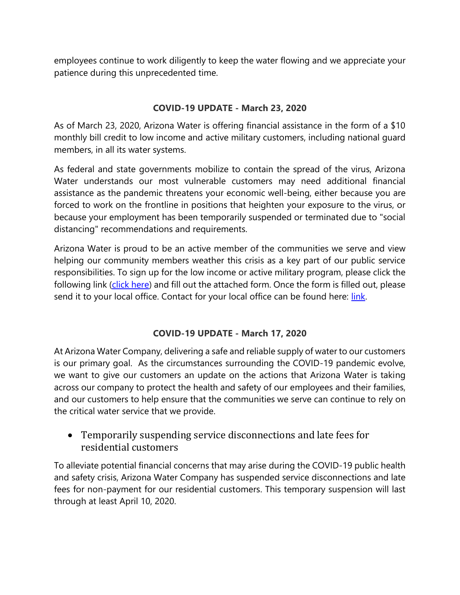employees continue to work diligently to keep the water flowing and we appreciate your patience during this unprecedented time.

## **COVID-19 UPDATE - March 23, 2020**

As of March 23, 2020, Arizona Water is offering financial assistance in the form of a \$10 monthly bill credit to low income and active military customers, including national guard members, in all its water systems.

As federal and state governments mobilize to contain the spread of the virus, Arizona Water understands our most vulnerable customers may need additional financial assistance as the pandemic threatens your economic well-being, either because you are forced to work on the frontline in positions that heighten your exposure to the virus, or because your employment has been temporarily suspended or terminated due to "social distancing" recommendations and requirements.

Arizona Water is proud to be an active member of the communities we serve and view helping our community members weather this crisis as a key part of our public service responsibilities. To sign up for the low income or active military program, please click the following link [\(click here\)](http://www.azwater.com/files/rates/cacr-1.pdf) and fill out the attached form. Once the form is filled out, please send it to your local office. Contact for your local office can be found here: [link.](http://www.azwater.com/contact/contact-directory/)

# **COVID-19 UPDATE - March 17, 2020**

At Arizona Water Company, delivering a safe and reliable supply of water to our customers is our primary goal. As the circumstances surrounding the COVID-19 pandemic evolve, we want to give our customers an update on the actions that Arizona Water is taking across our company to protect the health and safety of our employees and their families, and our customers to help ensure that the communities we serve can continue to rely on the critical water service that we provide.

# • Temporarily suspending service disconnections and late fees for residential customers

To alleviate potential financial concerns that may arise during the COVID-19 public health and safety crisis, Arizona Water Company has suspended service disconnections and late fees for non-payment for our residential customers. This temporary suspension will last through at least April 10, 2020.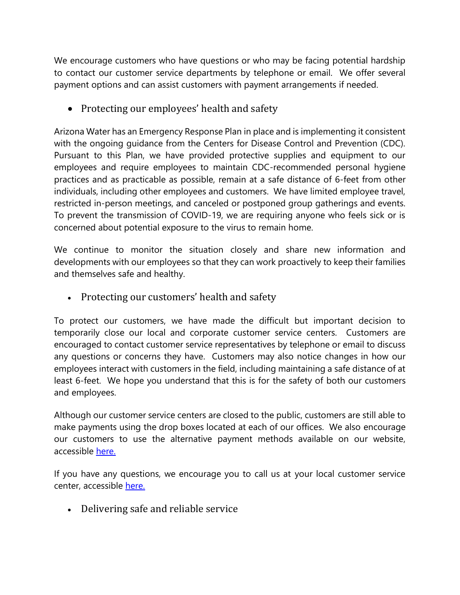We encourage customers who have questions or who may be facing potential hardship to contact our customer service departments by telephone or email. We offer several payment options and can assist customers with payment arrangements if needed.

• Protecting our employees' health and safety

Arizona Water has an Emergency Response Plan in place and is implementing it consistent with the ongoing guidance from the Centers for Disease Control and Prevention (CDC). Pursuant to this Plan, we have provided protective supplies and equipment to our employees and require employees to maintain CDC-recommended personal hygiene practices and as practicable as possible, remain at a safe distance of 6-feet from other individuals, including other employees and customers. We have limited employee travel, restricted in-person meetings, and canceled or postponed group gatherings and events. To prevent the transmission of COVID-19, we are requiring anyone who feels sick or is concerned about potential exposure to the virus to remain home.

We continue to monitor the situation closely and share new information and developments with our employees so that they can work proactively to keep their families and themselves safe and healthy.

• Protecting our customers' health and safety

To protect our customers, we have made the difficult but important decision to temporarily close our local and corporate customer service centers. Customers are encouraged to contact customer service representatives by telephone or email to discuss any questions or concerns they have. Customers may also notice changes in how our employees interact with customers in the field, including maintaining a safe distance of at least 6-feet. We hope you understand that this is for the safety of both our customers and employees.

Although our customer service centers are closed to the public, customers are still able to make payments using the drop boxes located at each of our offices. We also encourage our customers to use the alternative payment methods available on our website, accessible [here.](http://www.azwater.com/customer-care/pay-your-bill/)

If you have any questions, we encourage you to call us at your local customer service center, accessible [here.](http://www.azwater.com/contact/contact-directory/)

• Delivering safe and reliable service